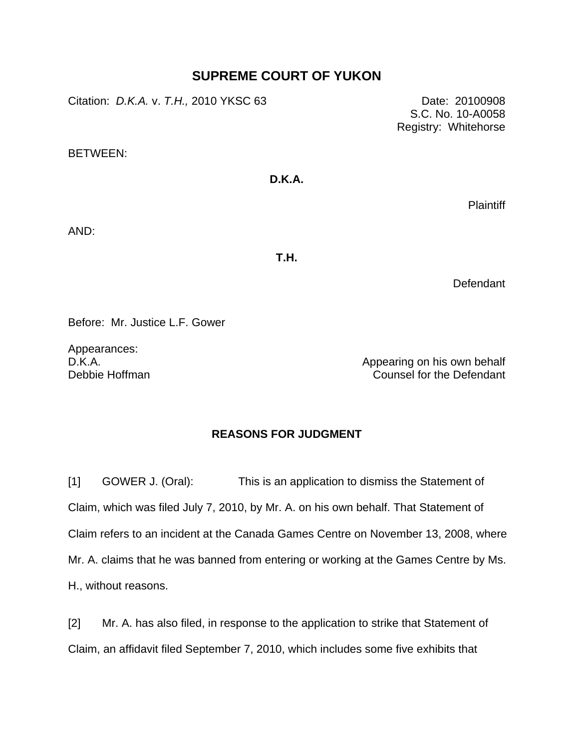## **SUPREME COURT OF YUKON**

Citation: *D.K.A.* v. *T.H.,* 2010 YKSC 63 Date: 20100908

S.C. No. 10-A0058 Registry: Whitehorse

BETWEEN:

## **D.K.A.**

Plaintiff

AND:

**T.H.** 

**Defendant** 

Before: Mr. Justice L.F. Gower

Appearances: D.K.A. Debbie Hoffman

Appearing on his own behalf Counsel for the Defendant

## **REASONS FOR JUDGMENT**

[1] GOWER J. (Oral): This is an application to dismiss the Statement of Claim, which was filed July 7, 2010, by Mr. A. on his own behalf. That Statement of Claim refers to an incident at the Canada Games Centre on November 13, 2008, where Mr. A. claims that he was banned from entering or working at the Games Centre by Ms. H., without reasons.

[2] Mr. A. has also filed, in response to the application to strike that Statement of Claim, an affidavit filed September 7, 2010, which includes some five exhibits that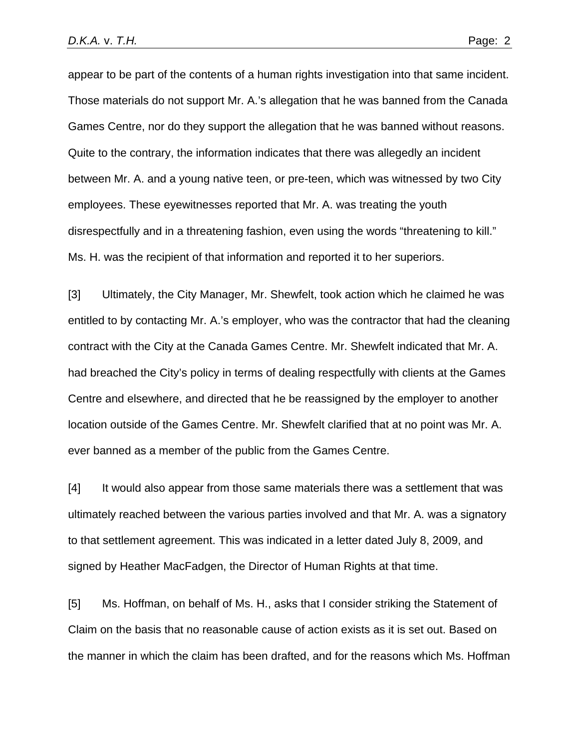appear to be part of the contents of a human rights investigation into that same incident. Those materials do not support Mr. A.'s allegation that he was banned from the Canada Games Centre, nor do they support the allegation that he was banned without reasons. Quite to the contrary, the information indicates that there was allegedly an incident between Mr. A. and a young native teen, or pre-teen, which was witnessed by two City employees. These eyewitnesses reported that Mr. A. was treating the youth disrespectfully and in a threatening fashion, even using the words "threatening to kill." Ms. H. was the recipient of that information and reported it to her superiors.

[3] Ultimately, the City Manager, Mr. Shewfelt, took action which he claimed he was entitled to by contacting Mr. A.'s employer, who was the contractor that had the cleaning contract with the City at the Canada Games Centre. Mr. Shewfelt indicated that Mr. A. had breached the City's policy in terms of dealing respectfully with clients at the Games Centre and elsewhere, and directed that he be reassigned by the employer to another location outside of the Games Centre. Mr. Shewfelt clarified that at no point was Mr. A. ever banned as a member of the public from the Games Centre.

[4] It would also appear from those same materials there was a settlement that was ultimately reached between the various parties involved and that Mr. A. was a signatory to that settlement agreement. This was indicated in a letter dated July 8, 2009, and signed by Heather MacFadgen, the Director of Human Rights at that time.

[5] Ms. Hoffman, on behalf of Ms. H., asks that I consider striking the Statement of Claim on the basis that no reasonable cause of action exists as it is set out. Based on the manner in which the claim has been drafted, and for the reasons which Ms. Hoffman